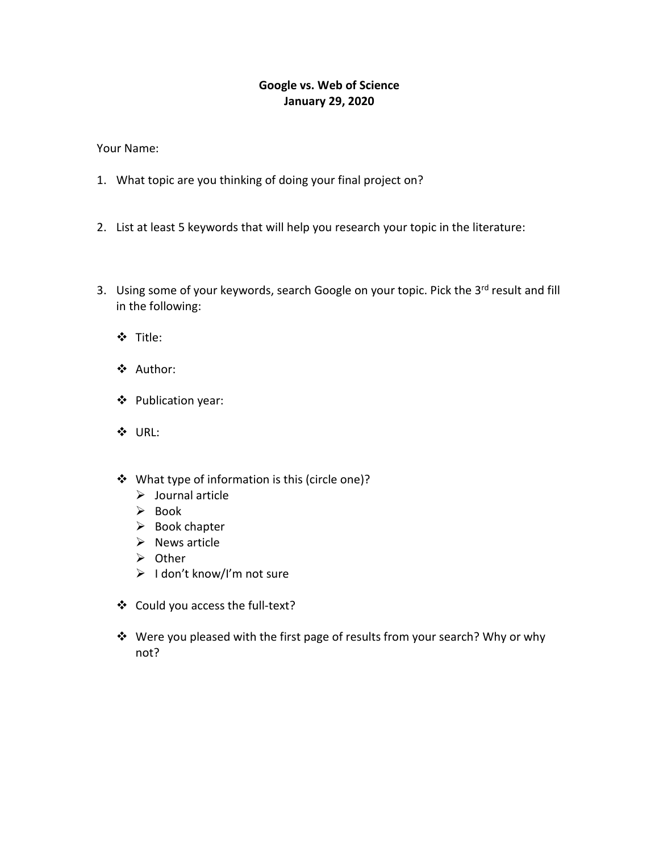## **Google vs. Web of Science January 29, 2020**

Your Name:

- 1. What topic are you thinking of doing your final project on?
- 2. List at least 5 keywords that will help you research your topic in the literature:
- 3. Using some of your keywords, search Google on your topic. Pick the 3rd result and fill in the following:
	- Title:
	- Author:
	- Publication year:
	- URL:
	- What type of information is this (circle one)?
		- $\triangleright$  Journal article
		- $\triangleright$  Book
		- $\triangleright$  Book chapter
		- $\triangleright$  News article
		- $\triangleright$  Other
		- $\triangleright$  I don't know/I'm not sure
	- Could you access the full-text?
	- Were you pleased with the first page of results from your search? Why or why not?